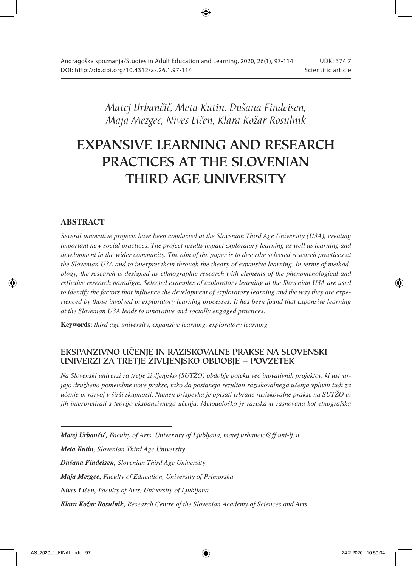*Matej Urbančič, Meta Kutin, Dušana Findeisen, Maja Mezgec, Nives Ličen, Klara Kožar Rosulnik*

# EXPANSIVE LEARNING AND RESEARCH PRACTICES AT THE SLOVENIAN THIRD AGE UNIVERSITY

## ABSTRACT

*Several innovative projects have been conducted at the Slovenian Third Age University (U3A), creating important new social practices. The project results impact exploratory learning as well as learning and development in the wider community. The aim of the paper is to describe selected research practices at the Slovenian U3A and to interpret them through the theory of expansive learning. In terms of methodology, the research is designed as ethnographic research with elements of the phenomenological and reflexive research paradigm. Selected examples of exploratory learning at the Slovenian U3A are used to identify the factors that influence the development of exploratory learning and the way they are experienced by those involved in exploratory learning processes. It has been found that expansive learning at the Slovenian U3A leads to innovative and socially engaged practices.* 

Keywords: *third age university, expansive learning, exploratory learning*

## EKSPANZIVNO UČENJE IN RAZISKOVALNE PRAKSE NA SLOVENSKI UNIVERZI ZA TRETJE ŽIVLJENJSKO OBDOBJE – POVZETEK

*Na Slovenski univerzi za tretje življenjsko (SUTŽO) obdobje poteka več inovativnih projektov, ki ustvarjajo družbeno pomembne nove prakse, tako da postanejo rezultati raziskovalnega učenja vplivni tudi za učenje in razvoj v širši skupnosti. Namen prispevka je opisati izbrane raziskovalne prakse na SUTŽO in jih interpretirati s teorijo ekspanzivnega učenja. Metodološko je raziskava zasnovana kot etnografska* 

- *Matej Urbančič, Faculty of Arts, University of Ljubljana, matej.urbancic@ff.uni-lj.si*
- *Meta Kutin, Slovenian Third Age University*
- *Dušana Findeisen, Slovenian Third Age University*
- *Maja Mezgec, Faculty of Education, University of Primorska*
- *Nives Ličen, Faculty of Arts, University of Ljubljana*
- *Klara Kožar Rosulnik, Research Centre of the Slovenian Academy of Sciences and Arts*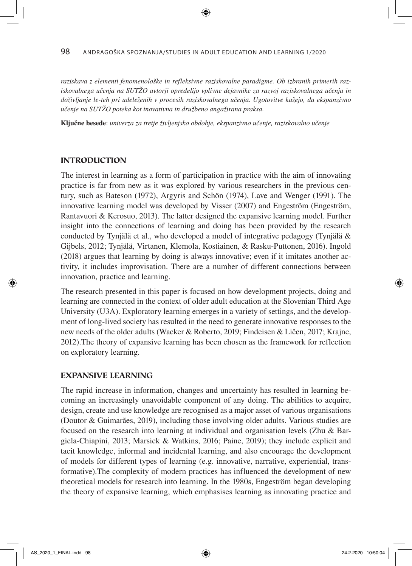*raziskava z elementi fenomenološke in refleksivne raziskovalne paradigme. Ob izbranih primerih raziskovalnega učenja na SUTŽO avtorji opredelijo vplivne dejavnike za razvoj raziskovalnega učenja in doživljanje le-teh pri udeleženih v procesih raziskovalnega učenja. Ugotovitve kažejo, da ekspanzivno učenje na SUTŽO poteka kot inovativna in družbeno angažirana praksa.*

Ključne besede: *univerza za tretje življenjsko obdobje, ekspanzivno učenje, raziskovalno učenje*

#### INTRODUCTION

The interest in learning as a form of participation in practice with the aim of innovating practice is far from new as it was explored by various researchers in the previous century, such as Bateson (1972), Argyris and Schön (1974), Lave and Wenger (1991). The innovative learning model was developed by Visser (2007) and Engeström (Engeström, Rantavuori & Kerosuo, 2013). The latter designed the expansive learning model. Further insight into the connections of learning and doing has been provided by the research conducted by Tynjälä et al., who developed a model of integrative pedagogy (Tynjälä & Gijbels, 2012; Tynjälä, Virtanen, Klemola, Kostiainen, & Rasku-Puttonen, 2016). Ingold (2018) argues that learning by doing is always innovative; even if it imitates another activity, it includes improvisation. There are a number of different connections between innovation, practice and learning.

The research presented in this paper is focused on how development projects, doing and learning are connected in the context of older adult education at the Slovenian Third Age University (U3A). Exploratory learning emerges in a variety of settings, and the development of long-lived society has resulted in the need to generate innovative responses to the new needs of the older adults (Wacker & Roberto, 2019; Findeisen & Ličen, 2017; Krajnc, 2012).The theory of expansive learning has been chosen as the framework for reflection on exploratory learning.

#### EXPANSIVE LEARNING

The rapid increase in information, changes and uncertainty has resulted in learning becoming an increasingly unavoidable component of any doing. The abilities to acquire, design, create and use knowledge are recognised as a major asset of various organisations (Doutor & Guimarães, 2019), including those involving older adults. Various studies are focused on the research into learning at individual and organisation levels (Zhu & Bargiela-Chiapini, 2013; Marsick & Watkins, 2016; Paine, 2019); they include explicit and tacit knowledge, informal and incidental learning, and also encourage the development of models for different types of learning (e.g. innovative, narrative, experiential, transformative).The complexity of modern practices has influenced the development of new theoretical models for research into learning. In the 1980s, Engeström began developing the theory of expansive learning, which emphasises learning as innovating practice and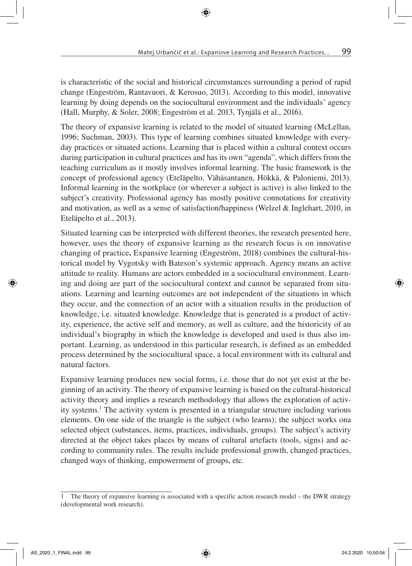is characteristic of the social and historical circumstances surrounding a period of rapid change (Engeström, Rantavuori, & Kerosuo, 2013). According to this model, innovative learning by doing depends on the sociocultural environment and the individuals' agency (Hall, Murphy, & Soler, 2008; Engeström et al. 2013, Tynjälä et al., 2016).

The theory of expansive learning is related to the model of situated learning (McLellan, 1996; Suchman, 2003). This type of learning combines situated knowledge with everyday practices or situated actions. Learning that is placed within a cultural context occurs during participation in cultural practices and has its own "agenda", which differs from the teaching curriculum as it mostly involves informal learning. The basic framework is the concept of professional agency (Eteläpelto, Vähäsantanen, Hökkä, & Paloniemi, 2013). Informal learning in the workplace (or wherever a subject is active) is also linked to the subject's creativity. Professional agency has mostly positive connotations for creativity and motivation, as well as a sense of satisfaction/happiness (Welzel & Inglehart, 2010, in Eteläpelto et al., 2013).

Situated learning can be interpreted with different theories, the research presented here, however, uses the theory of expansive learning as the research focus is on innovative changing of practice. Expansive learning (Engeström, 2018) combines the cultural-historical model by Vygotsky with Bateson's systemic approach. Agency means an active attitude to reality. Humans are actors embedded in a sociocultural environment. Learning and doing are part of the sociocultural context and cannot be separated from situations. Learning and learning outcomes are not independent of the situations in which they occur, and the connection of an actor with a situation results in the production of knowledge, i.e. situated knowledge. Knowledge that is generated is a product of activity, experience, the active self and memory, as well as culture, and the historicity of an individual's biography in which the knowledge is developed and used is thus also important. Learning, as understood in this particular research, is defined as an embedded process determined by the sociocultural space, a local environment with its cultural and natural factors.

Expansive learning produces new social forms, i.e. those that do not yet exist at the beginning of an activity. The theory of expansive learning is based on the cultural-historical activity theory and implies a research methodology that allows the exploration of activity systems.1 The activity system is presented in a triangular structure including various elements. On one side of the triangle is the subject (who learns); the subject works ona selected object (substances, items, practices, individuals, groups). The subject's activity directed at the object takes places by means of cultural artefacts (tools, signs) and according to community rules. The results include professional growth, changed practices, changed ways of thinking, empowerment of groups, etc.

The theory of expansive learning is associated with a specific action research model – the DWR strategy (developmental work research).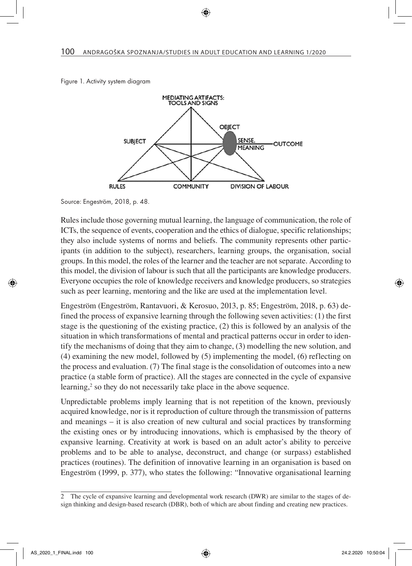



Source: Engeström, 2018, p. 48.

Rules include those governing mutual learning, the language of communication, the role of ICTs, the sequence of events, cooperation and the ethics of dialogue, specific relationships; they also include systems of norms and beliefs. The community represents other participants (in addition to the subject), researchers, learning groups, the organisation, social groups. In this model, the roles of the learner and the teacher are not separate. According to this model, the division of labour is such that all the participants are knowledge producers. Everyone occupies the role of knowledge receivers and knowledge producers, so strategies such as peer learning, mentoring and the like are used at the implementation level.

Engeström (Engeström, Rantavuori, & Kerosuo, 2013, p. 85; Engeström, 2018, p. 63) defined the process of expansive learning through the following seven activities: (1) the first stage is the questioning of the existing practice, (2) this is followed by an analysis of the situation in which transformations of mental and practical patterns occur in order to identify the mechanisms of doing that they aim to change, (3) modelling the new solution, and (4) examining the new model, followed by (5) implementing the model, (6) reflecting on the process and evaluation. (7) The final stage is the consolidation of outcomes into a new practice (a stable form of practice). All the stages are connected in the cycle of expansive learning,<sup>2</sup> so they do not necessarily take place in the above sequence.

Unpredictable problems imply learning that is not repetition of the known, previously acquired knowledge, nor is it reproduction of culture through the transmission of patterns and meanings – it is also creation of new cultural and social practices by transforming the existing ones or by introducing innovations, which is emphasised by the theory of expansive learning. Creativity at work is based on an adult actor's ability to perceive problems and to be able to analyse, deconstruct, and change (or surpass) established practices (routines). The definition of innovative learning in an organisation is based on Engeström (1999, p. 377), who states the following: "Innovative organisational learning

<sup>2</sup> The cycle of expansive learning and developmental work research (DWR) are similar to the stages of design thinking and design-based research (DBR), both of which are about finding and creating new practices.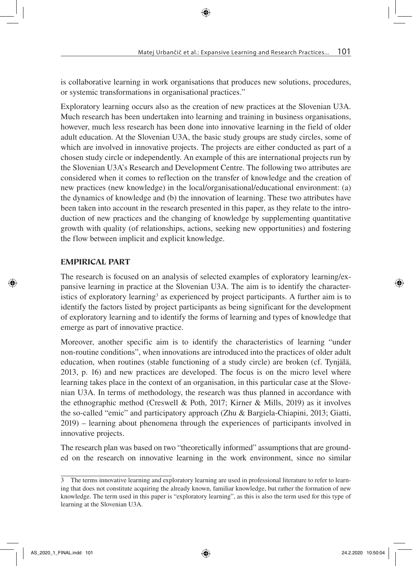is collaborative learning in work organisations that produces new solutions, procedures, or systemic transformations in organisational practices."

Exploratory learning occurs also as the creation of new practices at the Slovenian U3A. Much research has been undertaken into learning and training in business organisations, however, much less research has been done into innovative learning in the field of older adult education. At the Slovenian U3A, the basic study groups are study circles, some of which are involved in innovative projects. The projects are either conducted as part of a chosen study circle or independently. An example of this are international projects run by the Slovenian U3A's Research and Development Centre. The following two attributes are considered when it comes to reflection on the transfer of knowledge and the creation of new practices (new knowledge) in the local/organisational/educational environment: (a) the dynamics of knowledge and (b) the innovation of learning. These two attributes have been taken into account in the research presented in this paper, as they relate to the introduction of new practices and the changing of knowledge by supplementing quantitative growth with quality (of relationships, actions, seeking new opportunities) and fostering the flow between implicit and explicit knowledge.

## EMPIRICAL PART

The research is focused on an analysis of selected examples of exploratory learning/expansive learning in practice at the Slovenian U3A. The aim is to identify the characteristics of exploratory learning<sup>3</sup> as experienced by project participants. A further aim is to identify the factors listed by project participants as being significant for the development of exploratory learning and to identify the forms of learning and types of knowledge that emerge as part of innovative practice.

Moreover, another specific aim is to identify the characteristics of learning "under non-routine conditions", when innovations are introduced into the practices of older adult education, when routines (stable functioning of a study circle) are broken (cf. Tynjälä, 2013, p. 16) and new practices are developed. The focus is on the micro level where learning takes place in the context of an organisation, in this particular case at the Slovenian U3A. In terms of methodology, the research was thus planned in accordance with the ethnographic method (Creswell & Poth, 2017; Kirner & Mills, 2019) as it involves the so-called "emic" and participatory approach (Zhu & Bargiela-Chiapini, 2013; Giatti, 2019) – learning about phenomena through the experiences of participants involved in innovative projects.

The research plan was based on two "theoretically informed" assumptions that are grounded on the research on innovative learning in the work environment, since no similar

<sup>3</sup> The terms innovative learning and exploratory learning are used in professional literature to refer to learning that does not constitute acquiring the already known, familiar knowledge, but rather the formation of new knowledge. The term used in this paper is "exploratory learning", as this is also the term used for this type of learning at the Slovenian U3A.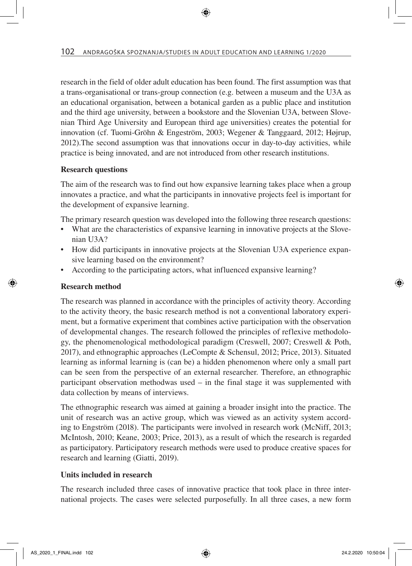research in the field of older adult education has been found. The first assumption was that a trans-organisational or trans-group connection (e.g. between a museum and the U3A as an educational organisation, between a botanical garden as a public place and institution and the third age university, between a bookstore and the Slovenian U3A, between Slovenian Third Age University and European third age universities) creates the potential for innovation (cf. Tuomi-Gröhn & Engeström, 2003; Wegener & Tanggaard, 2012; Højrup, 2012).The second assumption was that innovations occur in day-to-day activities, while practice is being innovated, and are not introduced from other research institutions.

## Research questions

The aim of the research was to find out how expansive learning takes place when a group innovates a practice, and what the participants in innovative projects feel is important for the development of expansive learning.

The primary research question was developed into the following three research questions:

- What are the characteristics of expansive learning in innovative projects at the Slovenian U3A?
- How did participants in innovative projects at the Slovenian U3A experience expansive learning based on the environment?
- According to the participating actors, what influenced expansive learning?

#### Research method

The research was planned in accordance with the principles of activity theory. According to the activity theory, the basic research method is not a conventional laboratory experiment, but a formative experiment that combines active participation with the observation of developmental changes. The research followed the principles of reflexive methodology, the phenomenological methodological paradigm (Creswell, 2007; Creswell & Poth, 2017), and ethnographic approaches (LeCompte & Schensul, 2012; Price, 2013). Situated learning as informal learning is (can be) a hidden phenomenon where only a small part can be seen from the perspective of an external researcher. Therefore, an ethnographic participant observation methodwas used – in the final stage it was supplemented with data collection by means of interviews.

The ethnographic research was aimed at gaining a broader insight into the practice. The unit of research was an active group, which was viewed as an activity system according to Engström (2018). The participants were involved in research work (McNiff, 2013; McIntosh, 2010; Keane, 2003; Price, 2013), as a result of which the research is regarded as participatory. Participatory research methods were used to produce creative spaces for research and learning (Giatti, 2019).

## Units included in research

The research included three cases of innovative practice that took place in three international projects. The cases were selected purposefully. In all three cases, a new form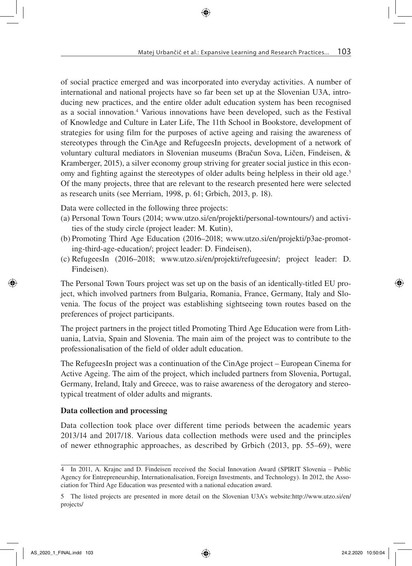of social practice emerged and was incorporated into everyday activities. A number of international and national projects have so far been set up at the Slovenian U3A, introducing new practices, and the entire older adult education system has been recognised as a social innovation.<sup>4</sup> Various innovations have been developed, such as the Festival of Knowledge and Culture in Later Life, The 11th School in Bookstore, development of strategies for using film for the purposes of active ageing and raising the awareness of stereotypes through the CinAge and RefugeesIn projects, development of a network of voluntary cultural mediators in Slovenian museums (Bračun Sova, Ličen, Findeisen, & Kramberger, 2015), a silver economy group striving for greater social justice in this economy and fighting against the stereotypes of older adults being helpless in their old age.<sup>5</sup> Of the many projects, three that are relevant to the research presented here were selected as research units (see Merriam, 1998, p. 61; Grbich, 2013, p. 18).

Data were collected in the following three projects:

- (a) Personal Town Tours (2014; www.utzo.si/en/projekti/personal-towntours/) and activities of the study circle (project leader: M. Kutin),
- (b) Promoting Third Age Education (2016–2018; www.utzo.si/en/projekti/p3ae-promoting-third-age-education/; project leader: D. Findeisen),
- (c) RefugeesIn (2016–2018; www.utzo.si/en/projekti/refugeesin/; project leader: D. Findeisen).

The Personal Town Tours project was set up on the basis of an identically-titled EU project, which involved partners from Bulgaria, Romania, France, Germany, Italy and Slovenia. The focus of the project was establishing sightseeing town routes based on the preferences of project participants.

The project partners in the project titled Promoting Third Age Education were from Lithuania, Latvia, Spain and Slovenia. The main aim of the project was to contribute to the professionalisation of the field of older adult education.

The RefugeesIn project was a continuation of the CinAge project – European Cinema for Active Ageing. The aim of the project, which included partners from Slovenia, Portugal, Germany, Ireland, Italy and Greece, was to raise awareness of the derogatory and stereotypical treatment of older adults and migrants.

## Data collection and processing

Data collection took place over different time periods between the academic years 2013/14 and 2017/18. Various data collection methods were used and the principles of newer ethnographic approaches, as described by Grbich (2013, pp. 55–69), were

<sup>4</sup> In 2011, A. Krajnc and D. Findeisen received the Social Innovation Award (SPIRIT Slovenia – Public Agency for Entrepreneurship, Internationalisation, Foreign Investments, and Technology). In 2012, the Association for Third Age Education was presented with a national education award.

<sup>5</sup> The listed projects are presented in more detail on the Slovenian U3A's website:http://www.utzo.si/en/ projects/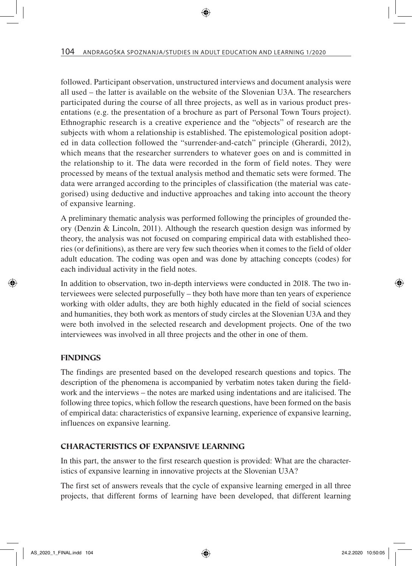followed. Participant observation, unstructured interviews and document analysis were all used – the latter is available on the website of the Slovenian U3A. The researchers participated during the course of all three projects, as well as in various product presentations (e.g. the presentation of a brochure as part of Personal Town Tours project). Ethnographic research is a creative experience and the "objects" of research are the subjects with whom a relationship is established. The epistemological position adopted in data collection followed the "surrender-and-catch" principle (Gherardi, 2012), which means that the researcher surrenders to whatever goes on and is committed in the relationship to it. The data were recorded in the form of field notes. They were processed by means of the textual analysis method and thematic sets were formed. The data were arranged according to the principles of classification (the material was categorised) using deductive and inductive approaches and taking into account the theory of expansive learning.

A preliminary thematic analysis was performed following the principles of grounded theory (Denzin & Lincoln, 2011). Although the research question design was informed by theory, the analysis was not focused on comparing empirical data with established theories (or definitions), as there are very few such theories when it comes to the field of older adult education. The coding was open and was done by attaching concepts (codes) for each individual activity in the field notes.

In addition to observation, two in-depth interviews were conducted in 2018. The two interviewees were selected purposefully – they both have more than ten years of experience working with older adults, they are both highly educated in the field of social sciences and humanities, they both work as mentors of study circles at the Slovenian U3A and they were both involved in the selected research and development projects. One of the two interviewees was involved in all three projects and the other in one of them.

#### FINDINGS

The findings are presented based on the developed research questions and topics. The description of the phenomena is accompanied by verbatim notes taken during the fieldwork and the interviews – the notes are marked using indentations and are italicised. The following three topics, which follow the research questions, have been formed on the basis of empirical data: characteristics of expansive learning, experience of expansive learning, influences on expansive learning.

#### CHARACTERISTICS OF EXPANSIVE LEARNING

In this part, the answer to the first research question is provided: What are the characteristics of expansive learning in innovative projects at the Slovenian U3A?

The first set of answers reveals that the cycle of expansive learning emerged in all three projects, that different forms of learning have been developed, that different learning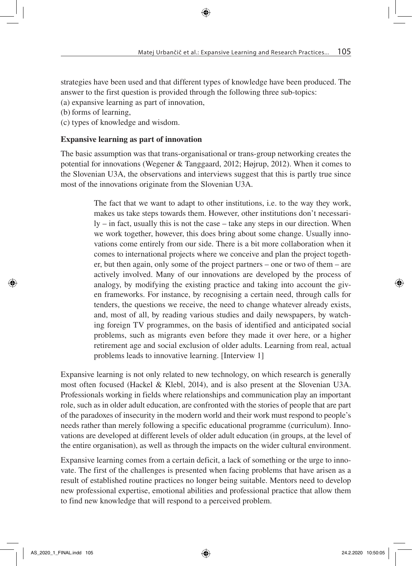strategies have been used and that different types of knowledge have been produced. The answer to the first question is provided through the following three sub-topics:

(a) expansive learning as part of innovation,

(b) forms of learning,

(c) types of knowledge and wisdom.

#### Expansive learning as part of innovation

The basic assumption was that trans-organisational or trans-group networking creates the potential for innovations (Wegener & Tanggaard, 2012; Højrup, 2012). When it comes to the Slovenian U3A, the observations and interviews suggest that this is partly true since most of the innovations originate from the Slovenian U3A.

> The fact that we want to adapt to other institutions, i.e. to the way they work, makes us take steps towards them. However, other institutions don't necessarily – in fact, usually this is not the case – take any steps in our direction. When we work together, however, this does bring about some change. Usually innovations come entirely from our side. There is a bit more collaboration when it comes to international projects where we conceive and plan the project together, but then again, only some of the project partners – one or two of them – are actively involved. Many of our innovations are developed by the process of analogy, by modifying the existing practice and taking into account the given frameworks. For instance, by recognising a certain need, through calls for tenders, the questions we receive, the need to change whatever already exists, and, most of all, by reading various studies and daily newspapers, by watching foreign TV programmes, on the basis of identified and anticipated social problems, such as migrants even before they made it over here, or a higher retirement age and social exclusion of older adults. Learning from real, actual problems leads to innovative learning. [Interview 1]

Expansive learning is not only related to new technology, on which research is generally most often focused (Hackel & Klebl, 2014), and is also present at the Slovenian U3A. Professionals working in fields where relationships and communication play an important role, such as in older adult education, are confronted with the stories of people that are part of the paradoxes of insecurity in the modern world and their work must respond to people's needs rather than merely following a specific educational programme (curriculum). Innovations are developed at different levels of older adult education (in groups, at the level of the entire organisation), as well as through the impacts on the wider cultural environment.

Expansive learning comes from a certain deficit, a lack of something or the urge to innovate. The first of the challenges is presented when facing problems that have arisen as a result of established routine practices no longer being suitable. Mentors need to develop new professional expertise, emotional abilities and professional practice that allow them to find new knowledge that will respond to a perceived problem.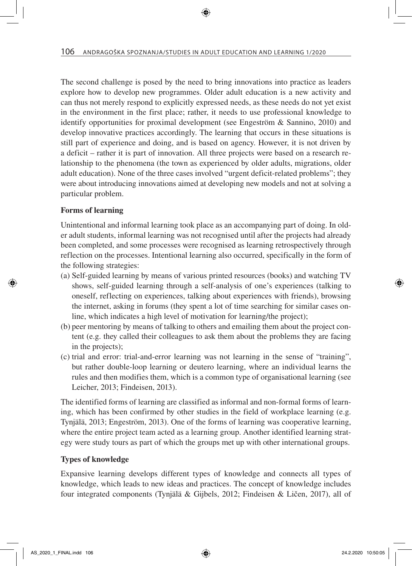The second challenge is posed by the need to bring innovations into practice as leaders explore how to develop new programmes. Older adult education is a new activity and can thus not merely respond to explicitly expressed needs, as these needs do not yet exist in the environment in the first place; rather, it needs to use professional knowledge to identify opportunities for proximal development (see Engeström & Sannino, 2010) and develop innovative practices accordingly. The learning that occurs in these situations is still part of experience and doing, and is based on agency. However, it is not driven by a deficit – rather it is part of innovation. All three projects were based on a research relationship to the phenomena (the town as experienced by older adults, migrations, older adult education). None of the three cases involved "urgent deficit-related problems"; they were about introducing innovations aimed at developing new models and not at solving a particular problem.

## Forms of learning

Unintentional and informal learning took place as an accompanying part of doing. In older adult students, informal learning was not recognised until after the projects had already been completed, and some processes were recognised as learning retrospectively through reflection on the processes. Intentional learning also occurred, specifically in the form of the following strategies:

- (a) Self-guided learning by means of various printed resources (books) and watching TV shows, self-guided learning through a self-analysis of one's experiences (talking to oneself, reflecting on experiences, talking about experiences with friends), browsing the internet, asking in forums (they spent a lot of time searching for similar cases online, which indicates a high level of motivation for learning/the project);
- (b) peer mentoring by means of talking to others and emailing them about the project content (e.g. they called their colleagues to ask them about the problems they are facing in the projects);
- (c) trial and error: trial-and-error learning was not learning in the sense of "training", but rather double-loop learning or deutero learning, where an individual learns the rules and then modifies them, which is a common type of organisational learning (see Leicher, 2013; Findeisen, 2013).

The identified forms of learning are classified as informal and non-formal forms of learning, which has been confirmed by other studies in the field of workplace learning (e.g. Tynjälä, 2013; Engeström, 2013). One of the forms of learning was cooperative learning, where the entire project team acted as a learning group. Another identified learning strategy were study tours as part of which the groups met up with other international groups.

## Types of knowledge

Expansive learning develops different types of knowledge and connects all types of knowledge, which leads to new ideas and practices. The concept of knowledge includes four integrated components (Tynjälä & Gijbels, 2012; Findeisen & Ličen, 2017), all of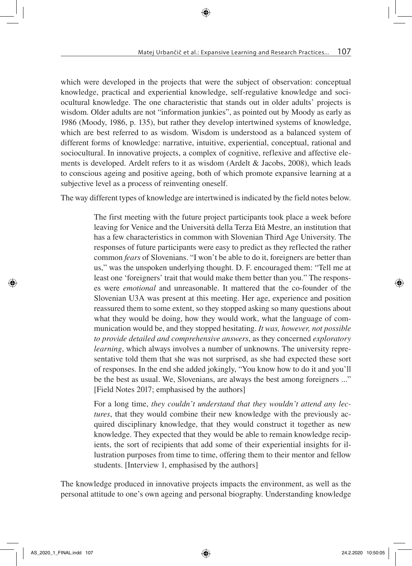which were developed in the projects that were the subject of observation: conceptual knowledge, practical and experiential knowledge, self-regulative knowledge and sociocultural knowledge. The one characteristic that stands out in older adults' projects is wisdom. Older adults are not "information junkies", as pointed out by Moody as early as 1986 (Moody, 1986, p. 135), but rather they develop intertwined systems of knowledge, which are best referred to as wisdom. Wisdom is understood as a balanced system of different forms of knowledge: narrative, intuitive, experiential, conceptual, rational and sociocultural. In innovative projects, a complex of cognitive, reflexive and affective elements is developed. Ardelt refers to it as wisdom (Ardelt & Jacobs, 2008), which leads to conscious ageing and positive ageing, both of which promote expansive learning at a subjective level as a process of reinventing oneself.

The way different types of knowledge are intertwined is indicated by the field notes below.

The first meeting with the future project participants took place a week before leaving for Venice and the Università della Terza Età Mestre, an institution that has a few characteristics in common with Slovenian Third Age University. The responses of future participants were easy to predict as they reflected the rather common *fears* of Slovenians. "I won't be able to do it, foreigners are better than us," was the unspoken underlying thought. D. F. encouraged them: "Tell me at least one 'foreigners' trait that would make them better than you." The responses were *emotional* and unreasonable. It mattered that the co-founder of the Slovenian U3A was present at this meeting. Her age, experience and position reassured them to some extent, so they stopped asking so many questions about what they would be doing, how they would work, what the language of communication would be, and they stopped hesitating. *It was, however, not possible to provide detailed and comprehensive answers*, as they concerned *exploratory learning*, which always involves a number of unknowns. The university representative told them that she was not surprised, as she had expected these sort of responses. In the end she added jokingly, "You know how to do it and you'll be the best as usual. We, Slovenians, are always the best among foreigners ..." [Field Notes 2017; emphasised by the authors]

For a long time, *they couldn't understand that they wouldn't attend any lectures*, that they would combine their new knowledge with the previously acquired disciplinary knowledge, that they would construct it together as new knowledge. They expected that they would be able to remain knowledge recipients, the sort of recipients that add some of their experiential insights for illustration purposes from time to time, offering them to their mentor and fellow students. [Interview 1, emphasised by the authors]

The knowledge produced in innovative projects impacts the environment, as well as the personal attitude to one's own ageing and personal biography. Understanding knowledge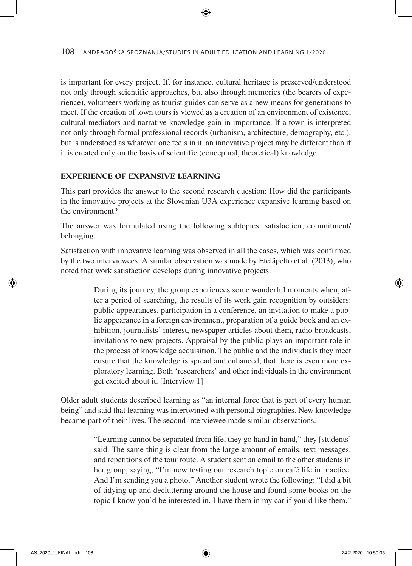is important for every project. If, for instance, cultural heritage is preserved/understood not only through scientific approaches, but also through memories (the bearers of experience), volunteers working as tourist guides can serve as a new means for generations to meet. If the creation of town tours is viewed as a creation of an environment of existence, cultural mediators and narrative knowledge gain in importance. If a town is interpreted not only through formal professional records (urbanism, architecture, demography, etc.), but is understood as whatever one feels in it, an innovative project may be different than if it is created only on the basis of scientific (conceptual, theoretical) knowledge.

## EXPERIENCE OF EXPANSIVE LEARNING

This part provides the answer to the second research question: How did the participants in the innovative projects at the Slovenian U3A experience expansive learning based on the environment?

The answer was formulated using the following subtopics: satisfaction, commitment/ belonging.

Satisfaction with innovative learning was observed in all the cases, which was confirmed by the two interviewees. A similar observation was made by Eteläpelto et al. (2013), who noted that work satisfaction develops during innovative projects.

> During its journey, the group experiences some wonderful moments when, after a period of searching, the results of its work gain recognition by outsiders: public appearances, participation in a conference, an invitation to make a public appearance in a foreign environment, preparation of a guide book and an exhibition, journalists' interest, newspaper articles about them, radio broadcasts, invitations to new projects. Appraisal by the public plays an important role in the process of knowledge acquisition. The public and the individuals they meet ensure that the knowledge is spread and enhanced, that there is even more exploratory learning. Both 'researchers' and other individuals in the environment get excited about it. [Interview 1]

Older adult students described learning as "an internal force that is part of every human being" and said that learning was intertwined with personal biographies. New knowledge became part of their lives. The second interviewee made similar observations.

> "Learning cannot be separated from life, they go hand in hand," they [students] said. The same thing is clear from the large amount of emails, text messages, and repetitions of the tour route. A student sent an email to the other students in her group, saying, "I'm now testing our research topic on café life in practice. And I'm sending you a photo." Another student wrote the following: "I did a bit of tidying up and decluttering around the house and found some books on the topic I know you'd be interested in. I have them in my car if you'd like them."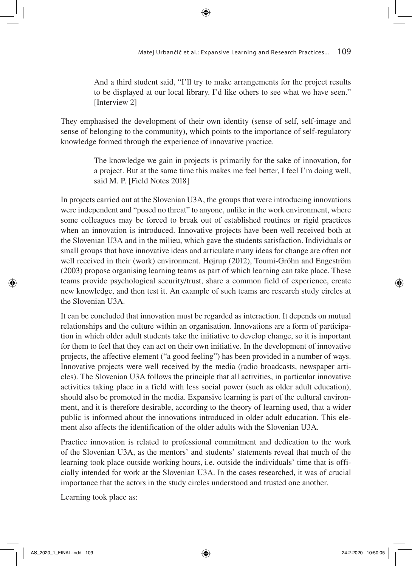And a third student said, "I'll try to make arrangements for the project results to be displayed at our local library. I'd like others to see what we have seen." [Interview 2]

They emphasised the development of their own identity (sense of self, self-image and sense of belonging to the community), which points to the importance of self-regulatory knowledge formed through the experience of innovative practice.

> The knowledge we gain in projects is primarily for the sake of innovation, for a project. But at the same time this makes me feel better, I feel I'm doing well, said M. P. [Field Notes 2018]

In projects carried out at the Slovenian U3A, the groups that were introducing innovations were independent and "posed no threat" to anyone, unlike in the work environment, where some colleagues may be forced to break out of established routines or rigid practices when an innovation is introduced. Innovative projects have been well received both at the Slovenian U3A and in the milieu, which gave the students satisfaction. Individuals or small groups that have innovative ideas and articulate many ideas for change are often not well received in their (work) environment. Højrup (2012), Toumi-Gröhn and Engeström (2003) propose organising learning teams as part of which learning can take place. These teams provide psychological security/trust, share a common field of experience, create new knowledge, and then test it. An example of such teams are research study circles at the Slovenian U3A

It can be concluded that innovation must be regarded as interaction. It depends on mutual relationships and the culture within an organisation. Innovations are a form of participation in which older adult students take the initiative to develop change, so it is important for them to feel that they can act on their own initiative. In the development of innovative projects, the affective element ("a good feeling") has been provided in a number of ways. Innovative projects were well received by the media (radio broadcasts, newspaper articles). The Slovenian U3A follows the principle that all activities, in particular innovative activities taking place in a field with less social power (such as older adult education), should also be promoted in the media. Expansive learning is part of the cultural environment, and it is therefore desirable, according to the theory of learning used, that a wider public is informed about the innovations introduced in older adult education. This element also affects the identification of the older adults with the Slovenian U3A.

Practice innovation is related to professional commitment and dedication to the work of the Slovenian U3A, as the mentors' and students' statements reveal that much of the learning took place outside working hours, i.e. outside the individuals' time that is officially intended for work at the Slovenian U3A. In the cases researched, it was of crucial importance that the actors in the study circles understood and trusted one another.

Learning took place as: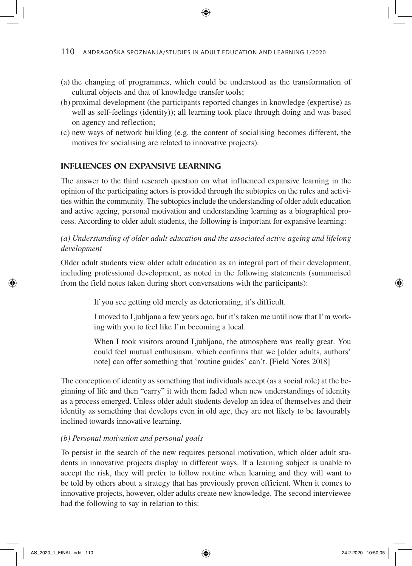- (a) the changing of programmes, which could be understood as the transformation of cultural objects and that of knowledge transfer tools;
- (b) proximal development (the participants reported changes in knowledge (expertise) as well as self-feelings (identity)); all learning took place through doing and was based on agency and reflection;
- (c) new ways of network building (e.g. the content of socialising becomes different, the motives for socialising are related to innovative projects).

## INFLUENCES ON EXPANSIVE LEARNING

The answer to the third research question on what influenced expansive learning in the opinion of the participating actors is provided through the subtopics on the rules and activities within the community. The subtopics include the understanding of older adult education and active ageing, personal motivation and understanding learning as a biographical process. According to older adult students, the following is important for expansive learning:

## *(a) Understanding of older adult education and the associated active ageing and lifelong development*

Older adult students view older adult education as an integral part of their development, including professional development, as noted in the following statements (summarised from the field notes taken during short conversations with the participants):

If you see getting old merely as deteriorating, it's difficult.

I moved to Ljubljana a few years ago, but it's taken me until now that I'm working with you to feel like I'm becoming a local.

When I took visitors around Ljubljana, the atmosphere was really great. You could feel mutual enthusiasm, which confirms that we [older adults, authors' note] can offer something that 'routine guides' can't. [Field Notes 2018]

The conception of identity as something that individuals accept (as a social role) at the beginning of life and then "carry" it with them faded when new understandings of identity as a process emerged. Unless older adult students develop an idea of themselves and their identity as something that develops even in old age, they are not likely to be favourably inclined towards innovative learning.

#### *(b) Personal motivation and personal goals*

To persist in the search of the new requires personal motivation, which older adult students in innovative projects display in different ways. If a learning subject is unable to accept the risk, they will prefer to follow routine when learning and they will want to be told by others about a strategy that has previously proven efficient. When it comes to innovative projects, however, older adults create new knowledge. The second interviewee had the following to say in relation to this: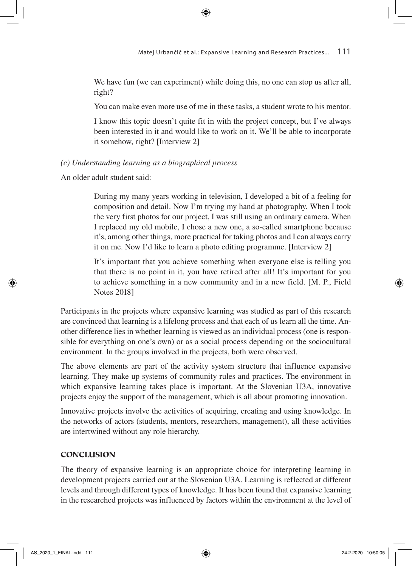We have fun (we can experiment) while doing this, no one can stop us after all, right?

You can make even more use of me in these tasks, a student wrote to his mentor.

I know this topic doesn't quite fit in with the project concept, but I've always been interested in it and would like to work on it. We'll be able to incorporate it somehow, right? [Interview 2]

## *(c) Understanding learning as a biographical process*

An older adult student said:

During my many years working in television, I developed a bit of a feeling for composition and detail. Now I'm trying my hand at photography. When I took the very first photos for our project, I was still using an ordinary camera. When I replaced my old mobile, I chose a new one, a so-called smartphone because it's, among other things, more practical for taking photos and I can always carry it on me. Now I'd like to learn a photo editing programme. [Interview 2]

It's important that you achieve something when everyone else is telling you that there is no point in it, you have retired after all! It's important for you to achieve something in a new community and in a new field. [M. P., Field Notes 2018]

Participants in the projects where expansive learning was studied as part of this research are convinced that learning is a lifelong process and that each of us learn all the time. Another difference lies in whether learning is viewed as an individual process (one is responsible for everything on one's own) or as a social process depending on the sociocultural environment. In the groups involved in the projects, both were observed.

The above elements are part of the activity system structure that influence expansive learning. They make up systems of community rules and practices. The environment in which expansive learning takes place is important. At the Slovenian U3A, innovative projects enjoy the support of the management, which is all about promoting innovation.

Innovative projects involve the activities of acquiring, creating and using knowledge. In the networks of actors (students, mentors, researchers, management), all these activities are intertwined without any role hierarchy.

## CONCLUSION

The theory of expansive learning is an appropriate choice for interpreting learning in development projects carried out at the Slovenian U3A. Learning is reflected at different levels and through different types of knowledge. It has been found that expansive learning in the researched projects was influenced by factors within the environment at the level of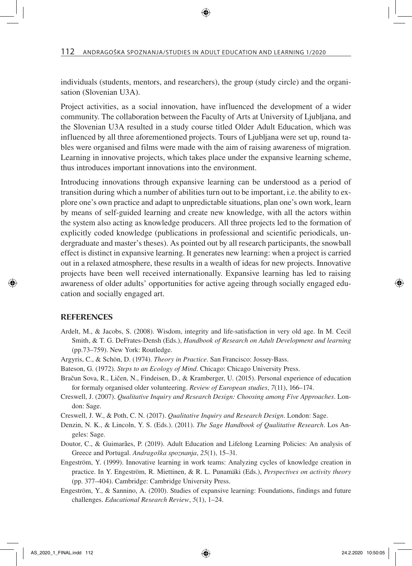individuals (students, mentors, and researchers), the group (study circle) and the organisation (Slovenian U3A).

Project activities, as a social innovation, have influenced the development of a wider community. The collaboration between the Faculty of Arts at University of Ljubljana, and the Slovenian U3A resulted in a study course titled Older Adult Education, which was influenced by all three aforementioned projects. Tours of Ljubljana were set up, round tables were organised and films were made with the aim of raising awareness of migration. Learning in innovative projects, which takes place under the expansive learning scheme, thus introduces important innovations into the environment.

Introducing innovations through expansive learning can be understood as a period of transition during which a number of abilities turn out to be important, i.e. the ability to explore one's own practice and adapt to unpredictable situations, plan one's own work, learn by means of self-guided learning and create new knowledge, with all the actors within the system also acting as knowledge producers. All three projects led to the formation of explicitly coded knowledge (publications in professional and scientific periodicals, undergraduate and master's theses). As pointed out by all research participants, the snowball effect is distinct in expansive learning. It generates new learning: when a project is carried out in a relaxed atmosphere, these results in a wealth of ideas for new projects. Innovative projects have been well received internationally. Expansive learning has led to raising awareness of older adults' opportunities for active ageing through socially engaged education and socially engaged art.

#### **REFERENCES**

- Ardelt, M., & Jacobs, S. (2008). Wisdom, integrity and life-satisfaction in very old age. In M. Cecil Smith, & T. G. DeFrates-Densh (Eds.), *Handbook of Research on Adult Development and learning* (pp.73–759). New York: Routledge.
- Argyris, C., & Schön, D. (1974). *Theory in Practice*. San Francisco: Jossey-Bass.
- Bateson, G. (1972). *Steps to an Ecology of Mind*. Chicago: Chicago University Press.
- Bračun Sova, R., Ličen, N., Findeisen, D., & Kramberger, U. (2015). Personal experience of education for formaly organised older volunteering. *Review of European studies*, *7*(11), 166–174.
- Creswell, J. (2007). *Qualitative Inquiry and Research Design: Choosing among Five Approaches*. London: Sage.

Creswell, J. W., & Poth, C. N. (2017). *Qualitative Inquiry and Research Design*. London: Sage.

- Denzin, N. K., & Lincoln, Y. S. (Eds.). (2011). *The Sage Handbook of Qualitative Research*. Los Angeles: Sage.
- Doutor, C., & Guimarães, P. (2019). Adult Education and Lifelong Learning Policies: An analysis of Greece and Portugal. *Andragoška spoznanja*, *25*(1), 15–31.
- Engeström, Y. (1999). Innovative learning in work teams: Analyzing cycles of knowledge creation in practice. In Y. Engeström, R. Miettinen, & R. L. Punamäki (Eds.), *Perspectives on activity theory* (pp. 377–404). Cambridge: Cambridge University Press.
- Engeström, Y., & Sannino, A. (2010). Studies of expansive learning: Foundations, findings and future challenges. *Educational Research Review*, *5*(1), 1–24.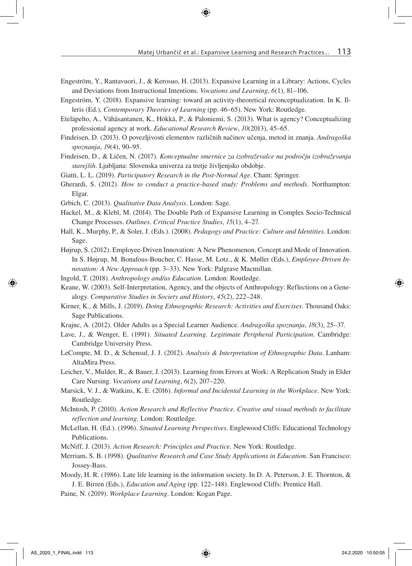- Engeström, Y., Rantavuori, J., & Kerosuo, H. (2013). Expansive Learning in a Library: Actions, Cycles and Deviations from Instructional Intentions. *Vocations and Learning*, *6*(1), 81–106.
- Engeström, Y. (2018). Expansive learning: toward an activity-theoretical reconceptualization. In K. Illeris (Ed.), *Contemporary Theories of Learning* (pp. 46–65). New York: Routledge.
- Eteläpelto, A., Vähäsantanen, K., Hökkä, P., & Paloniemi, S. (2013). What is agency? Conceptualizing professional agency at work. *Educational Research Review*, *10*(2013), 45–65.
- Findeisen, D. (2013). O povezljivosti elementov različnih načinov učenja, metod in znanja. *Andragoška spoznanja*, *19*(4), 90–95.
- Findeisen, D., & Ličen, N. (2017). *Konceptualne smernice za izobraževalce na področju izobraževanja starejših*. Ljubljana: Slovenska univerza za tretje življenjsko obdobje.
- Giatti, L. L. (2019). *Participatory Research in the Post-Normal Age*. Cham: Springer.
- Gherardi, S. (2012). *How to conduct a practice-based study: Problems and methods*. Northampton: Elgar.
- Grbich, C. (2013). *Qualitative Data Analysis*. London: Sage.
- Hackel, M., & Klebl, M. (2014). The Double Path of Expansive Learning in Complex Socio-Technical Change Processes. *Outlines. Critical Practice Studies*, *15*(1), 4–27.
- Hall, K., Murphy, P., & Soler, J. (Eds.). (2008). *Pedagogy and Practice: Culture and Identities*. London: Sage.
- Højrup, S. (2012). Employee-Driven Innovation: A New Phenomenon, Concept and Mode of Innovation. In S. Højrup, M. Bonafous-Boucher, C. Hasse, M. Lotz., & K. Møller (Eds.), *Employee-Driven Innovation: A New Approach* (pp. 3–33). New York: Palgrave Macmillan.
- Ingold, T. (2018). *Anthropology and/as Education*. London: Routledge.
- Keane, W. (2003). Self-Interpretation, Agency, and the objects of Anthropology: Reflections on a Genealogy. *Comparative Studies in Society and History*, *45*(2), 222–248.
- Kirner, K., & Mills, J. (2019). *Doing Ethnographic Research: Activities and Exercises*. Thousand Oaks: Sage Publications.
- Krajnc, A. (2012). Older Adults as a Special Learner Audience. *Andragoška spoznanja*, *18*(3), 25–37.
- Lave, J., & Wenger, E. (1991). *Situated Learning. Legitimate Peripheral Participation*. Cambridge: Cambridge University Press.
- LeCompte, M. D., & Schensul, J. J. (2012). *Analysis & Interpretation of Ethnographic Data*. Lanham: AltaMira Press.
- Leicher, V., Mulder, R., & Bauer, J. (2013). Learning from Errors at Work: A Replication Study in Elder Care Nursing. *Vocations and Learning*, *6*(2), 207–220.
- Marsick, V. J., & Watkins, K. E. (2016). *Informal and Incidental Learning in the Workplace*. New York: Routledge.
- McIntosh, P. (2010). *Action Research and Reflective Practice. Creative and visual methods to facilitate reflection and learning.* London: Routledge.
- McLellan, H. (Ed.). (1996). *Situated Learning Perspectives*. Englewood Cliffs: Educational Technology Publications.
- McNiff, J. (2013). *Action Research: Principles and Practice.* New York: Routledge.
- Merriam, S. B. (1998). *Qualitative Research and Case Study Applications in Education*. San Francisco: Jossey-Bass.
- Moody, H. R. (1986). Late life learning in the information society. In D. A. Peterson, J. E. Thornton, & J. E. Birren (Eds*.*), *Education and Aging* (pp. 122–148). Englewood Cliffs: Prentice Hall.
- Paine, N. (2019). *Workplace Learning*. London: Kogan Page.